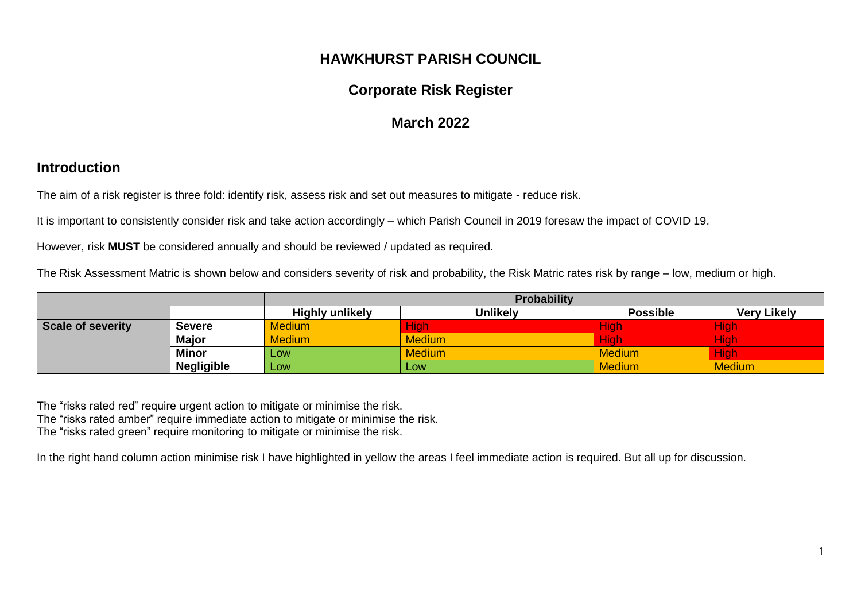### **HAWKHURST PARISH COUNCIL**

# **Corporate Risk Register**

## **March 2022**

#### **Introduction**

The aim of a risk register is three fold: identify risk, assess risk and set out measures to mitigate - reduce risk.

It is important to consistently consider risk and take action accordingly – which Parish Council in 2019 foresaw the impact of COVID 19.

However, risk **MUST** be considered annually and should be reviewed / updated as required.

The Risk Assessment Matric is shown below and considers severity of risk and probability, the Risk Matric rates risk by range – low, medium or high.

|                   |                   | <b>Probability</b>     |                 |                 |                    |  |  |
|-------------------|-------------------|------------------------|-----------------|-----------------|--------------------|--|--|
|                   |                   | <b>Highly unlikely</b> | <b>Unlikely</b> | <b>Possible</b> | <b>Very Likely</b> |  |  |
| Scale of severity | Severe            | <b>Medium</b>          | <b>High</b>     | <b>High</b>     | <b>High</b>        |  |  |
|                   | <b>Major</b>      | <b>Medium</b>          | <b>Medium</b>   | <b>High</b>     | <b>High</b>        |  |  |
| <b>Minor</b>      |                   | <b>LOW</b>             | <b>Medium</b>   | <b>Medium</b>   | <b>High</b>        |  |  |
|                   | <b>Negligible</b> | Low <sub>1</sub>       | Low             | <b>Medium</b>   | <b>Medium</b>      |  |  |

The "risks rated red" require urgent action to mitigate or minimise the risk. The "risks rated amber" require immediate action to mitigate or minimise the risk. The "risks rated green" require monitoring to mitigate or minimise the risk.

In the right hand column action minimise risk I have highlighted in yellow the areas I feel immediate action is required. But all up for discussion.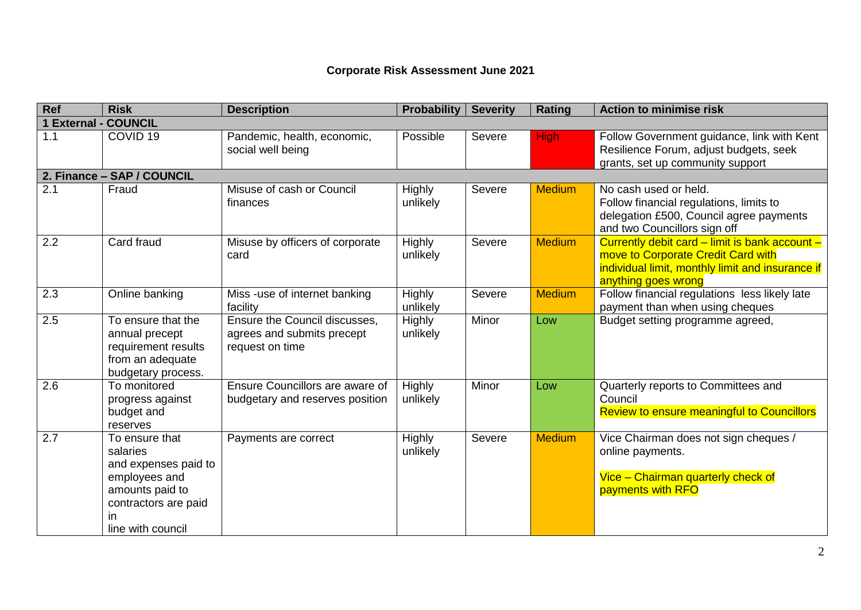#### **Corporate Risk Assessment June 2021**

| <b>Ref</b>                     | <b>Risk</b>                                                                                                                               | <b>Description</b>                                                             | <b>Probability</b>        | <b>Severity</b> | <b>Rating</b> | <b>Action to minimise risk</b>                                                                                                                                  |
|--------------------------------|-------------------------------------------------------------------------------------------------------------------------------------------|--------------------------------------------------------------------------------|---------------------------|-----------------|---------------|-----------------------------------------------------------------------------------------------------------------------------------------------------------------|
| <b>External - COUNCIL</b><br>1 |                                                                                                                                           |                                                                                |                           |                 |               |                                                                                                                                                                 |
| 1.1                            | COVID <sub>19</sub>                                                                                                                       | Pandemic, health, economic,<br>social well being                               | Possible                  | Severe          | <b>High</b>   | Follow Government guidance, link with Kent<br>Resilience Forum, adjust budgets, seek<br>grants, set up community support                                        |
|                                | 2. Finance - SAP / COUNCIL                                                                                                                |                                                                                |                           |                 |               |                                                                                                                                                                 |
| 2.1                            | Fraud                                                                                                                                     | Misuse of cash or Council<br>finances                                          | Highly<br>unlikely        | Severe          | <b>Medium</b> | No cash used or held.<br>Follow financial regulations, limits to<br>delegation £500, Council agree payments<br>and two Councillors sign off                     |
| 2.2                            | Card fraud                                                                                                                                | Misuse by officers of corporate<br>card                                        | Highly<br>unlikely        | Severe          | <b>Medium</b> | Currently debit card - limit is bank account -<br>move to Corporate Credit Card with<br>individual limit, monthly limit and insurance if<br>anything goes wrong |
| 2.3                            | Online banking                                                                                                                            | Miss -use of internet banking<br>facility                                      | Highly<br>unlikely        | Severe          | <b>Medium</b> | Follow financial regulations less likely late<br>payment than when using cheques                                                                                |
| 2.5                            | To ensure that the<br>annual precept<br>requirement results<br>from an adequate<br>budgetary process.                                     | Ensure the Council discusses,<br>agrees and submits precept<br>request on time | <b>Highly</b><br>unlikely | Minor           | Low           | Budget setting programme agreed,                                                                                                                                |
| 2.6                            | To monitored<br>progress against<br>budget and<br>reserves                                                                                | <b>Ensure Councillors are aware of</b><br>budgetary and reserves position      | <b>Highly</b><br>unlikely | Minor           | Low           | Quarterly reports to Committees and<br>Council<br><b>Review to ensure meaningful to Councillors</b>                                                             |
| 2.7                            | To ensure that<br>salaries<br>and expenses paid to<br>employees and<br>amounts paid to<br>contractors are paid<br>in<br>line with council | Payments are correct                                                           | <b>Highly</b><br>unlikely | Severe          | <b>Medium</b> | Vice Chairman does not sign cheques /<br>online payments.<br>Vice - Chairman quarterly check of<br>payments with RFO                                            |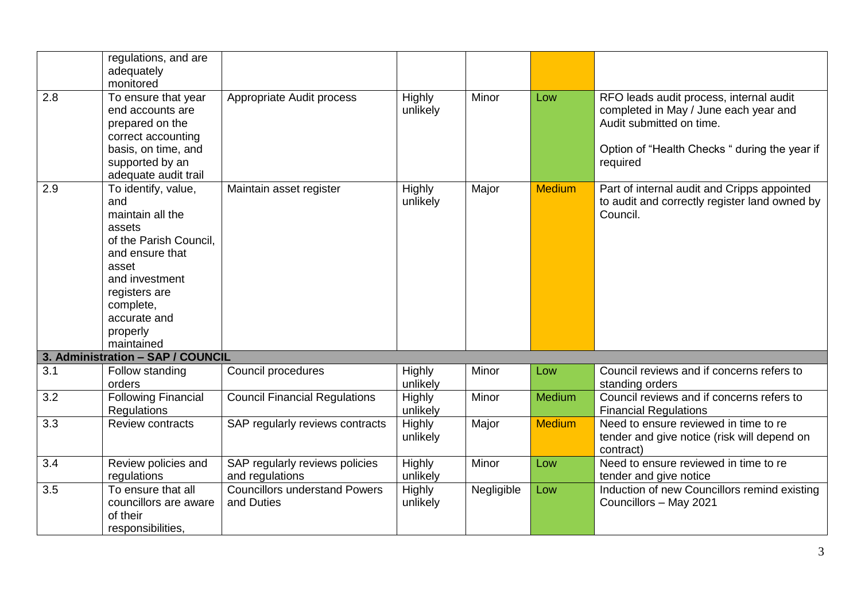|                  | regulations, and are<br>adequately                                                                                                                                                                       |                                                    |                           |            |               |                                                                                                                                                                           |
|------------------|----------------------------------------------------------------------------------------------------------------------------------------------------------------------------------------------------------|----------------------------------------------------|---------------------------|------------|---------------|---------------------------------------------------------------------------------------------------------------------------------------------------------------------------|
| 2.8              | monitored<br>To ensure that year<br>end accounts are<br>prepared on the<br>correct accounting<br>basis, on time, and<br>supported by an<br>adequate audit trail                                          | Appropriate Audit process                          | <b>Highly</b><br>unlikely | Minor      | Low           | RFO leads audit process, internal audit<br>completed in May / June each year and<br>Audit submitted on time.<br>Option of "Health Checks " during the year if<br>required |
| 2.9              | To identify, value,<br>and<br>maintain all the<br>assets<br>of the Parish Council,<br>and ensure that<br>asset<br>and investment<br>registers are<br>complete,<br>accurate and<br>properly<br>maintained | Maintain asset register                            | Highly<br>unlikely        | Major      | <b>Medium</b> | Part of internal audit and Cripps appointed<br>to audit and correctly register land owned by<br>Council.                                                                  |
|                  | 3. Administration - SAP / COUNCIL                                                                                                                                                                        |                                                    |                           |            |               |                                                                                                                                                                           |
| 3.1              | Follow standing<br>orders                                                                                                                                                                                | Council procedures                                 | Highly<br>unlikely        | Minor      | Low           | Council reviews and if concerns refers to<br>standing orders                                                                                                              |
| 3.2              | <b>Following Financial</b><br>Regulations                                                                                                                                                                | <b>Council Financial Regulations</b>               | Highly<br>unlikely        | Minor      | <b>Medium</b> | Council reviews and if concerns refers to<br><b>Financial Regulations</b>                                                                                                 |
| 3.3              | <b>Review contracts</b>                                                                                                                                                                                  | SAP regularly reviews contracts                    | <b>Highly</b><br>unlikely | Major      | <b>Medium</b> | Need to ensure reviewed in time to re<br>tender and give notice (risk will depend on<br>contract)                                                                         |
| $\overline{3.4}$ | Review policies and<br>regulations                                                                                                                                                                       | SAP regularly reviews policies<br>and regulations  | Highly<br>unlikely        | Minor      | Low           | Need to ensure reviewed in time to re<br>tender and give notice                                                                                                           |
| 3.5              | To ensure that all<br>councillors are aware<br>of their<br>responsibilities,                                                                                                                             | <b>Councillors understand Powers</b><br>and Duties | <b>Highly</b><br>unlikely | Negligible | Low           | Induction of new Councillors remind existing<br>Councillors - May 2021                                                                                                    |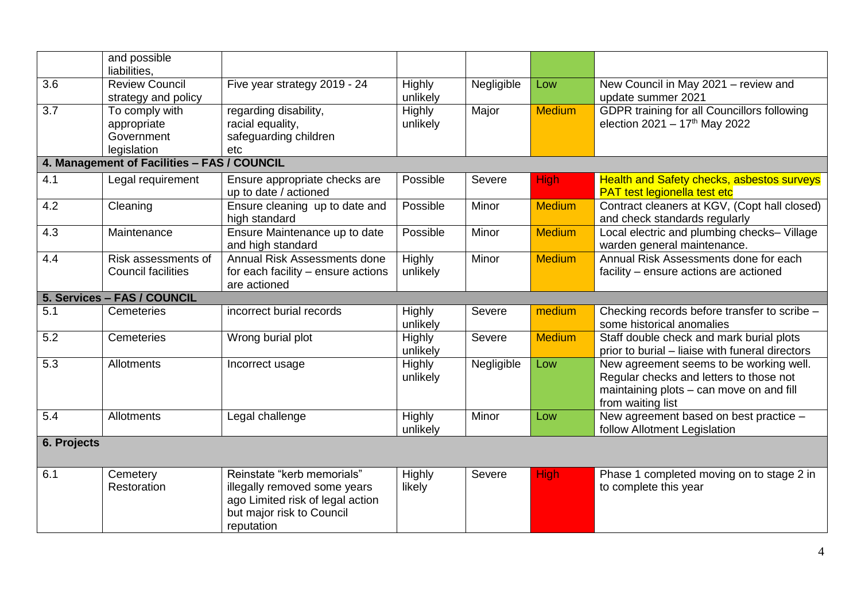|                  | and possible<br>liabilities,                               |                                                                                                                                           |                           |            |               |                                                                                                                                                     |
|------------------|------------------------------------------------------------|-------------------------------------------------------------------------------------------------------------------------------------------|---------------------------|------------|---------------|-----------------------------------------------------------------------------------------------------------------------------------------------------|
| $\overline{3.6}$ | <b>Review Council</b><br>strategy and policy               | Five year strategy 2019 - 24                                                                                                              | Highly<br>unlikely        | Negligible | Low           | New Council in May 2021 - review and<br>update summer 2021                                                                                          |
| 3.7              | To comply with<br>appropriate<br>Government<br>legislation | regarding disability,<br>racial equality,<br>safeguarding children<br>etc                                                                 | <b>Highly</b><br>unlikely | Major      | <b>Medium</b> | GDPR training for all Councillors following<br>election $2021 - 17$ <sup>th</sup> May 2022                                                          |
|                  | 4. Management of Facilities - FAS / COUNCIL                |                                                                                                                                           |                           |            |               |                                                                                                                                                     |
| 4.1              | Legal requirement                                          | Ensure appropriate checks are<br>up to date / actioned                                                                                    | Possible                  | Severe     | <b>High</b>   | <b>Health and Safety checks, asbestos surveys</b><br>PAT test legionella test etc                                                                   |
| 4.2              | Cleaning                                                   | Ensure cleaning up to date and<br>high standard                                                                                           | Possible                  | Minor      | <b>Medium</b> | Contract cleaners at KGV, (Copt hall closed)<br>and check standards regularly                                                                       |
| 4.3              | Maintenance                                                | Ensure Maintenance up to date<br>and high standard                                                                                        | Possible                  | Minor      | <b>Medium</b> | Local electric and plumbing checks- Village<br>warden general maintenance.                                                                          |
| 4.4              | Risk assessments of<br><b>Council facilities</b>           | Annual Risk Assessments done<br>for each facility - ensure actions<br>are actioned                                                        | Highly<br>unlikely        | Minor      | <b>Medium</b> | Annual Risk Assessments done for each<br>facility - ensure actions are actioned                                                                     |
|                  | 5. Services - FAS / COUNCIL                                |                                                                                                                                           |                           |            |               |                                                                                                                                                     |
| 5.1              | Cemeteries                                                 | incorrect burial records                                                                                                                  | Highly<br>unlikely        | Severe     | medium        | Checking records before transfer to scribe -<br>some historical anomalies                                                                           |
| $\overline{5.2}$ | Cemeteries                                                 | Wrong burial plot                                                                                                                         | Highly<br>unlikely        | Severe     | <b>Medium</b> | Staff double check and mark burial plots<br>prior to burial - liaise with funeral directors                                                         |
| 5.3              | Allotments                                                 | Incorrect usage                                                                                                                           | <b>Highly</b><br>unlikely | Negligible | Low           | New agreement seems to be working well.<br>Regular checks and letters to those not<br>maintaining plots - can move on and fill<br>from waiting list |
| 5.4              | Allotments                                                 | Legal challenge                                                                                                                           | Highly<br>unlikely        | Minor      | Low           | New agreement based on best practice -<br>follow Allotment Legislation                                                                              |
| 6. Projects      |                                                            |                                                                                                                                           |                           |            |               |                                                                                                                                                     |
| 6.1              | Cemetery<br>Restoration                                    | Reinstate "kerb memorials"<br>illegally removed some years<br>ago Limited risk of legal action<br>but major risk to Council<br>reputation | Highly<br>likely          | Severe     | <b>High</b>   | Phase 1 completed moving on to stage 2 in<br>to complete this year                                                                                  |